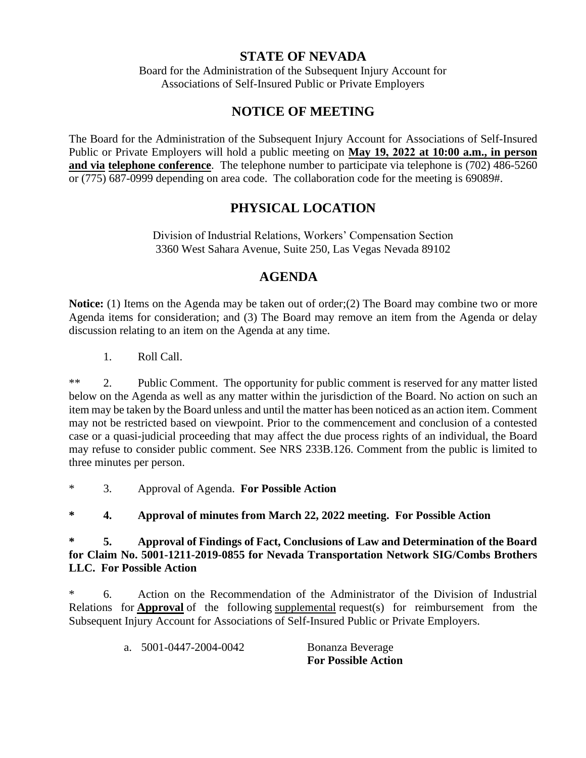## **STATE OF NEVADA**

Board for the Administration of the Subsequent Injury Account for Associations of Self-Insured Public or Private Employers

## **NOTICE OF MEETING**

The Board for the Administration of the Subsequent Injury Account for Associations of Self-Insured Public or Private Employers will hold a public meeting on **May 19, 2022 at 10:00 a.m., in person and via telephone conference**. The telephone number to participate via telephone is (702) 486-5260 or (775) 687-0999 depending on area code. The collaboration code for the meeting is 69089#.

## **PHYSICAL LOCATION**

Division of Industrial Relations, Workers' Compensation Section 3360 West Sahara Avenue, Suite 250, Las Vegas Nevada 89102

## **AGENDA**

**Notice:** (1) Items on the Agenda may be taken out of order;(2) The Board may combine two or more Agenda items for consideration; and (3) The Board may remove an item from the Agenda or delay discussion relating to an item on the Agenda at any time.

1. Roll Call.

\*\* 2. Public Comment. The opportunity for public comment is reserved for any matter listed below on the Agenda as well as any matter within the jurisdiction of the Board. No action on such an item may be taken by the Board unless and until the matter has been noticed as an action item. Comment may not be restricted based on viewpoint. Prior to the commencement and conclusion of a contested case or a quasi-judicial proceeding that may affect the due process rights of an individual, the Board may refuse to consider public comment. See NRS 233B.126. Comment from the public is limited to three minutes per person.

\* 3. Approval of Agenda. **For Possible Action**

**\* 4. Approval of minutes from March 22, 2022 meeting. For Possible Action**

**\* 5. Approval of Findings of Fact, Conclusions of Law and Determination of the Board for Claim No. 5001-1211-2019-0855 for Nevada Transportation Network SIG/Combs Brothers LLC. For Possible Action**

\* 6. Action on the Recommendation of the Administrator of the Division of Industrial Relations for **Approval** of the following supplemental request(s) for reimbursement from the Subsequent Injury Account for Associations of Self-Insured Public or Private Employers.

|                        | <b>For Possible Action</b> |
|------------------------|----------------------------|
| a. 5001-0447-2004-0042 | Bonanza Beverage           |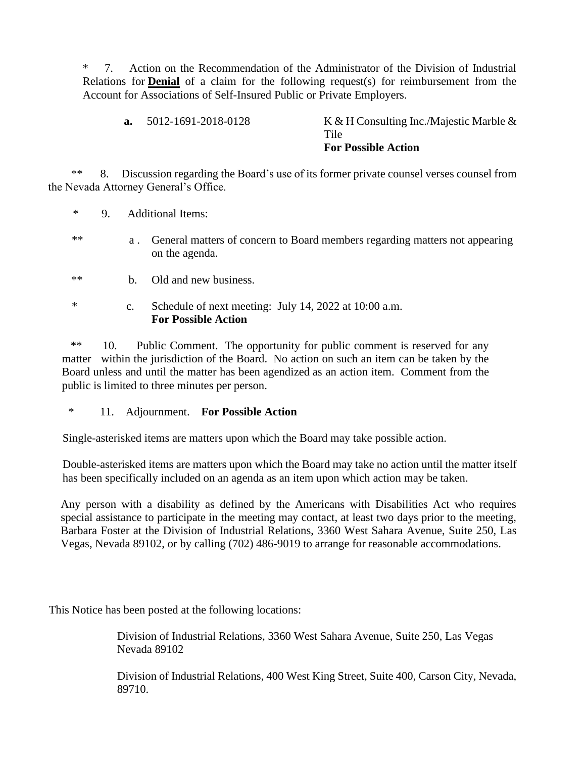\* 7. Action on the Recommendation of the Administrator of the Division of Industrial Relations for **Denial** of a claim for the following request(s) for reimbursement from the Account for Associations of Self-Insured Public or Private Employers.

**a.** 5012-1691-2018-0128 K & H Consulting Inc./Majestic Marble & Tile **For Possible Action**

 \*\* 8. Discussion regarding the Board's use of its former private counsel verses counsel from the Nevada Attorney General's Office.

\* 9. Additional Items:

- \*\* a . General matters of concern to Board members regarding matters not appearing on the agenda.
- \*\* b. Old and new business.
- \* c. Schedule of next meeting: July 14, 2022 at 10:00 a.m. **For Possible Action**

 \*\* 10. Public Comment. The opportunity for public comment is reserved for any matter within the jurisdiction of the Board. No action on such an item can be taken by the Board unless and until the matter has been agendized as an action item. Comment from the public is limited to three minutes per person.

\* 11. Adjournment. **For Possible Action** 

Single-asterisked items are matters upon which the Board may take possible action.

Double-asterisked items are matters upon which the Board may take no action until the matter itself has been specifically included on an agenda as an item upon which action may be taken.

Any person with a disability as defined by the Americans with Disabilities Act who requires special assistance to participate in the meeting may contact, at least two days prior to the meeting, Barbara Foster at the Division of Industrial Relations, 3360 West Sahara Avenue, Suite 250, Las Vegas, Nevada 89102, or by calling (702) 486-9019 to arrange for reasonable accommodations.

This Notice has been posted at the following locations:

Division of Industrial Relations, 3360 West Sahara Avenue, Suite 250, Las Vegas Nevada 89102

Division of Industrial Relations, 400 West King Street, Suite 400, Carson City, Nevada, 89710.